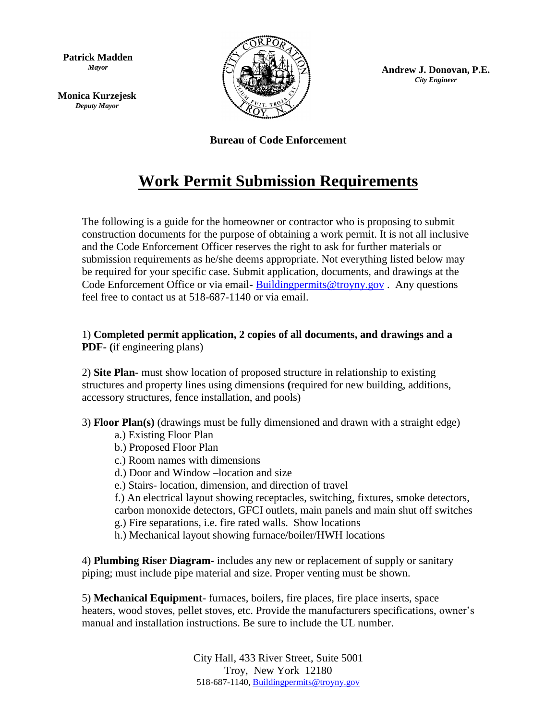**Patrick Madden** *Mayor*

**Monica Kurzejesk** *Deputy Mayor*



**Andrew J. Donovan, P.E.** *City Engineer*

**Bureau of Code Enforcement**

## **Work Permit Submission Requirements**

The following is a guide for the homeowner or contractor who is proposing to submit construction documents for the purpose of obtaining a work permit. It is not all inclusive and the Code Enforcement Officer reserves the right to ask for further materials or submission requirements as he/she deems appropriate. Not everything listed below may be required for your specific case. Submit application, documents, and drawings at the Code Enforcement Office or via email- Building permits@troyny.gov. Any questions feel free to contact us at 518-687-1140 or via email.

1) **Completed permit application, 2 copies of all documents, and drawings and a PDF- (**if engineering plans)

2) **Site Plan-** must show location of proposed structure in relationship to existing structures and property lines using dimensions **(**required for new building, additions, accessory structures, fence installation, and pools)

3) **Floor Plan(s)** (drawings must be fully dimensioned and drawn with a straight edge)

- a.) Existing Floor Plan
- b.) Proposed Floor Plan
- c.) Room names with dimensions
- d.) Door and Window –location and size
- e.) Stairs- location, dimension, and direction of travel
- f.) An electrical layout showing receptacles, switching, fixtures, smoke detectors,

carbon monoxide detectors, GFCI outlets, main panels and main shut off switches g.) Fire separations, i.e. fire rated walls. Show locations

h.) Mechanical layout showing furnace/boiler/HWH locations

4) **Plumbing Riser Diagram**- includes any new or replacement of supply or sanitary piping; must include pipe material and size. Proper venting must be shown.

5) **Mechanical Equipment**- furnaces, boilers, fire places, fire place inserts, space heaters, wood stoves, pellet stoves, etc. Provide the manufacturers specifications, owner's manual and installation instructions. Be sure to include the UL number.

> City Hall, 433 River Street, Suite 5001 Troy, New York 12180 518-687-1140, [Buildingpermits@troyny.gov](mailto:Buildingpermits@troyny.gov)